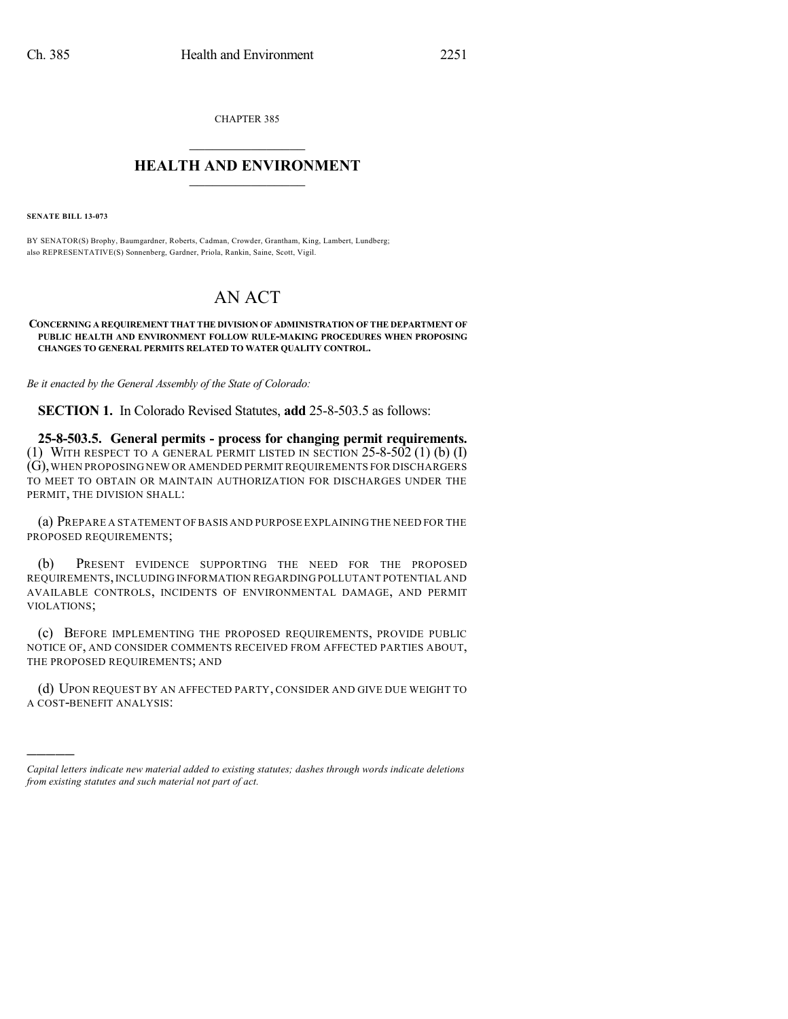CHAPTER 385

## $\mathcal{L}_\text{max}$  . The set of the set of the set of the set of the set of the set of the set of the set of the set of the set of the set of the set of the set of the set of the set of the set of the set of the set of the set **HEALTH AND ENVIRONMENT**  $\_$

**SENATE BILL 13-073**

)))))

BY SENATOR(S) Brophy, Baumgardner, Roberts, Cadman, Crowder, Grantham, King, Lambert, Lundberg; also REPRESENTATIVE(S) Sonnenberg, Gardner, Priola, Rankin, Saine, Scott, Vigil.

## AN ACT

## **CONCERNING A REQUIREMENT THAT THE DIVISION OF ADMINISTRATION OF THE DEPARTMENT OF PUBLIC HEALTH AND ENVIRONMENT FOLLOW RULE-MAKING PROCEDURES WHEN PROPOSING CHANGES TO GENERAL PERMITS RELATED TO WATER QUALITY CONTROL.**

*Be it enacted by the General Assembly of the State of Colorado:*

**SECTION 1.** In Colorado Revised Statutes, **add** 25-8-503.5 as follows:

**25-8-503.5. General permits - process for changing permit requirements.** (1) WITH RESPECT TO A GENERAL PERMIT LISTED IN SECTION 25-8-502 (1) (b) (I) (G),WHEN PROPOSING NEW OR AMENDED PERMIT REQUIREMENTS FOR DISCHARGERS TO MEET TO OBTAIN OR MAINTAIN AUTHORIZATION FOR DISCHARGES UNDER THE PERMIT, THE DIVISION SHALL:

(a) PREPARE A STATEMENT OF BASIS AND PURPOSE EXPLAINING THE NEED FOR THE PROPOSED REQUIREMENTS;

(b) PRESENT EVIDENCE SUPPORTING THE NEED FOR THE PROPOSED REQUIREMENTS,INCLUDING INFORMATION REGARDING POLLUTANT POTENTIAL AND AVAILABLE CONTROLS, INCIDENTS OF ENVIRONMENTAL DAMAGE, AND PERMIT VIOLATIONS;

(c) BEFORE IMPLEMENTING THE PROPOSED REQUIREMENTS, PROVIDE PUBLIC NOTICE OF, AND CONSIDER COMMENTS RECEIVED FROM AFFECTED PARTIES ABOUT, THE PROPOSED REQUIREMENTS; AND

(d) UPON REQUEST BY AN AFFECTED PARTY, CONSIDER AND GIVE DUE WEIGHT TO A COST-BENEFIT ANALYSIS:

*Capital letters indicate new material added to existing statutes; dashes through words indicate deletions from existing statutes and such material not part of act.*